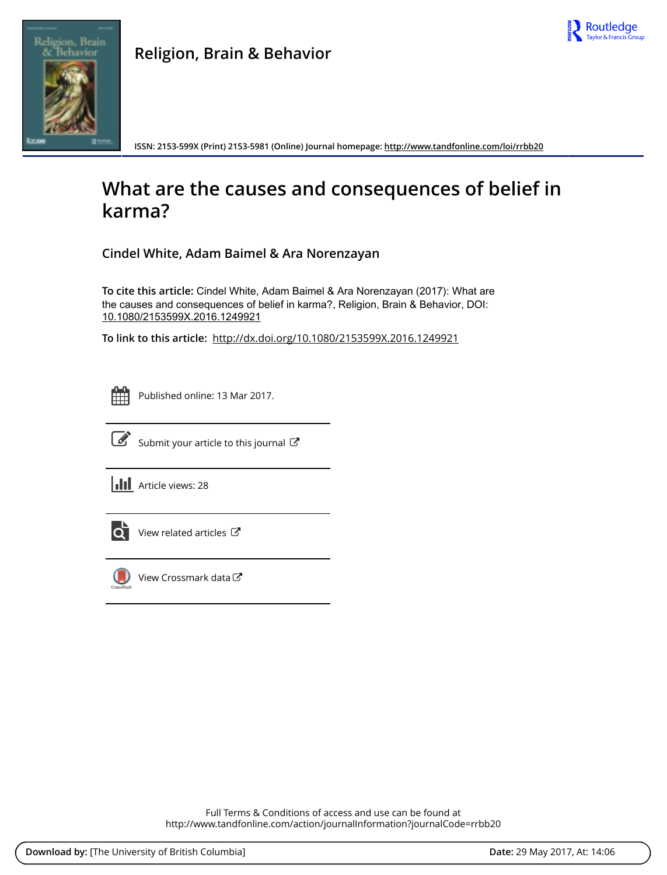



**Religion, Brain & Behavior**

**ISSN: 2153-599X (Print) 2153-5981 (Online) Journal homepage: <http://www.tandfonline.com/loi/rrbb20>**

# **What are the causes and consequences of belief in karma?**

**Cindel White, Adam Baimel & Ara Norenzayan**

**To cite this article:** Cindel White, Adam Baimel & Ara Norenzayan (2017): What are the causes and consequences of belief in karma?, Religion, Brain & Behavior, DOI: [10.1080/2153599X.2016.1249921](http://www.tandfonline.com/action/showCitFormats?doi=10.1080/2153599X.2016.1249921)

**To link to this article:** <http://dx.doi.org/10.1080/2153599X.2016.1249921>

|  | - |  |
|--|---|--|
|  |   |  |
|  |   |  |
|  |   |  |

Published online: 13 Mar 2017.



 $\overrightarrow{S}$  [Submit your article to this journal](http://www.tandfonline.com/action/authorSubmission?journalCode=rrbb20&show=instructions)  $\overrightarrow{S}$ 

**III** Article views: 28



 $\overline{Q}$  [View related articles](http://www.tandfonline.com/doi/mlt/10.1080/2153599X.2016.1249921)  $\overline{C}$ 



 $\bigcirc$  [View Crossmark data](http://crossmark.crossref.org/dialog/?doi=10.1080/2153599X.2016.1249921&domain=pdf&date_stamp=2017-03-13) $\mathbb{Z}$ 

Full Terms & Conditions of access and use can be found at <http://www.tandfonline.com/action/journalInformation?journalCode=rrbb20>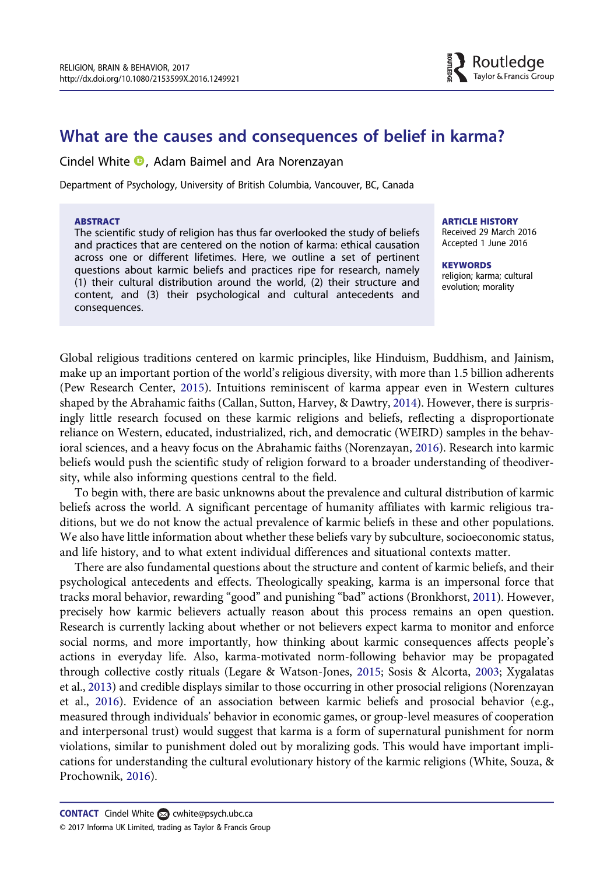# <span id="page-1-0"></span>What are the causes and consequences of belief in karma?

# Cindel White  $\bullet$ , Adam Baimel and Ara Norenzayan

Department of Psychology, University of British Columbia, Vancouver, BC, Canada

#### ABSTRACT

The scientific study of religion has thus far overlooked the study of beliefs and practices that are centered on the notion of karma: ethical causation across one or different lifetimes. Here, we outline a set of pertinent questions about karmic beliefs and practices ripe for research, namely (1) their cultural distribution around the world, (2) their structure and content, and (3) their psychological and cultural antecedents and consequences.

ARTICLE HISTORY Received 29 March 2016 Accepted 1 June 2016

**KEYWORDS** religion; karma; cultural evolution; morality

Global religious traditions centered on karmic principles, like Hinduism, Buddhism, and Jainism, make up an important portion of the world's religious diversity, with more than 1.5 billion adherents (Pew Research Center, [2015](#page-3-0)). Intuitions reminiscent of karma appear even in Western cultures shaped by the Abrahamic faiths (Callan, Sutton, Harvey, & Dawtry, [2014](#page-3-0)). However, there is surprisingly little research focused on these karmic religions and beliefs, reflecting a disproportionate reliance on Western, educated, industrialized, rich, and democratic (WEIRD) samples in the behavioral sciences, and a heavy focus on the Abrahamic faiths (Norenzayan, [2016\)](#page-3-0). Research into karmic beliefs would push the scientific study of religion forward to a broader understanding of theodiversity, while also informing questions central to the field.

To begin with, there are basic unknowns about the prevalence and cultural distribution of karmic beliefs across the world. A significant percentage of humanity affiliates with karmic religious traditions, but we do not know the actual prevalence of karmic beliefs in these and other populations. We also have little information about whether these beliefs vary by subculture, socioeconomic status, and life history, and to what extent individual differences and situational contexts matter.

There are also fundamental questions about the structure and content of karmic beliefs, and their psychological antecedents and effects. Theologically speaking, karma is an impersonal force that tracks moral behavior, rewarding "good" and punishing "bad" actions (Bronkhorst, [2011](#page-3-0)). However, precisely how karmic believers actually reason about this process remains an open question. Research is currently lacking about whether or not believers expect karma to monitor and enforce social norms, and more importantly, how thinking about karmic consequences affects people's actions in everyday life. Also, karma-motivated norm-following behavior may be propagated through collective costly rituals (Legare & Watson-Jones, [2015](#page-3-0); Sosis & Alcorta, [2003](#page-3-0); Xygalatas et al., [2013](#page-4-0)) and credible displays similar to those occurring in other prosocial religions (Norenzayan et al., [2016\)](#page-3-0). Evidence of an association between karmic beliefs and prosocial behavior (e.g., measured through individuals' behavior in economic games, or group-level measures of cooperation and interpersonal trust) would suggest that karma is a form of supernatural punishment for norm violations, similar to punishment doled out by moralizing gods. This would have important implications for understanding the cultural evolutionary history of the karmic religions (White, Souza, & Prochownik, [2016\)](#page-4-0).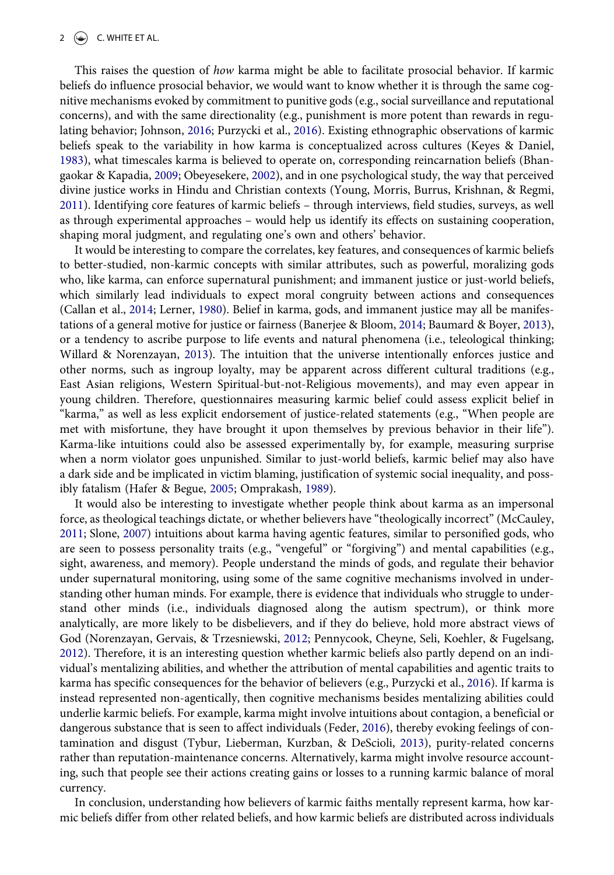#### <span id="page-2-0"></span>2  $\left(\rightarrow\right)$  C. WHITE ET AL.

This raises the question of how karma might be able to facilitate prosocial behavior. If karmic beliefs do influence prosocial behavior, we would want to know whether it is through the same cognitive mechanisms evoked by commitment to punitive gods (e.g., social surveillance and reputational concerns), and with the same directionality (e.g., punishment is more potent than rewards in regulating behavior; Johnson, [2016;](#page-3-0) Purzycki et al., [2016](#page-3-0)). Existing ethnographic observations of karmic beliefs speak to the variability in how karma is conceptualized across cultures (Keyes & Daniel, [1983](#page-3-0)), what timescales karma is believed to operate on, corresponding reincarnation beliefs (Bhangaokar & Kapadia, [2009](#page-3-0); Obeyesekere, [2002](#page-3-0)), and in one psychological study, the way that perceived divine justice works in Hindu and Christian contexts (Young, Morris, Burrus, Krishnan, & Regmi, [2011](#page-4-0)). Identifying core features of karmic beliefs – through interviews, field studies, surveys, as well as through experimental approaches – would help us identify its effects on sustaining cooperation, shaping moral judgment, and regulating one's own and others' behavior.

It would be interesting to compare the correlates, key features, and consequences of karmic beliefs to better-studied, non-karmic concepts with similar attributes, such as powerful, moralizing gods who, like karma, can enforce supernatural punishment; and immanent justice or just-world beliefs, which similarly lead individuals to expect moral congruity between actions and consequences (Callan et al., [2014](#page-3-0); Lerner, [1980\)](#page-3-0). Belief in karma, gods, and immanent justice may all be manifestations of a general motive for justice or fairness (Banerjee & Bloom, [2014;](#page-3-0) Baumard & Boyer, [2013\)](#page-3-0), or a tendency to ascribe purpose to life events and natural phenomena (i.e., teleological thinking; Willard & Norenzayan, [2013](#page-4-0)). The intuition that the universe intentionally enforces justice and other norms, such as ingroup loyalty, may be apparent across different cultural traditions (e.g., East Asian religions, Western Spiritual-but-not-Religious movements), and may even appear in young children. Therefore, questionnaires measuring karmic belief could assess explicit belief in "karma," as well as less explicit endorsement of justice-related statements (e.g., "When people are met with misfortune, they have brought it upon themselves by previous behavior in their life"). Karma-like intuitions could also be assessed experimentally by, for example, measuring surprise when a norm violator goes unpunished. Similar to just-world beliefs, karmic belief may also have a dark side and be implicated in victim blaming, justification of systemic social inequality, and possibly fatalism (Hafer & Begue, [2005;](#page-3-0) Omprakash, [1989](#page-3-0)).

It would also be interesting to investigate whether people think about karma as an impersonal force, as theological teachings dictate, or whether believers have "theologically incorrect" (McCauley, [2011](#page-3-0); Slone, [2007](#page-3-0)) intuitions about karma having agentic features, similar to personified gods, who are seen to possess personality traits (e.g., "vengeful" or "forgiving") and mental capabilities (e.g., sight, awareness, and memory). People understand the minds of gods, and regulate their behavior under supernatural monitoring, using some of the same cognitive mechanisms involved in understanding other human minds. For example, there is evidence that individuals who struggle to understand other minds (i.e., individuals diagnosed along the autism spectrum), or think more analytically, are more likely to be disbelievers, and if they do believe, hold more abstract views of God (Norenzayan, Gervais, & Trzesniewski, [2012](#page-3-0); Pennycook, Cheyne, Seli, Koehler, & Fugelsang, [2012](#page-3-0)). Therefore, it is an interesting question whether karmic beliefs also partly depend on an individual's mentalizing abilities, and whether the attribution of mental capabilities and agentic traits to karma has specific consequences for the behavior of believers (e.g., Purzycki et al., [2016](#page-3-0)). If karma is instead represented non-agentically, then cognitive mechanisms besides mentalizing abilities could underlie karmic beliefs. For example, karma might involve intuitions about contagion, a beneficial or dangerous substance that is seen to affect individuals (Feder, [2016](#page-3-0)), thereby evoking feelings of contamination and disgust (Tybur, Lieberman, Kurzban, & DeScioli, [2013\)](#page-3-0), purity-related concerns rather than reputation-maintenance concerns. Alternatively, karma might involve resource accounting, such that people see their actions creating gains or losses to a running karmic balance of moral currency.

In conclusion, understanding how believers of karmic faiths mentally represent karma, how karmic beliefs differ from other related beliefs, and how karmic beliefs are distributed across individuals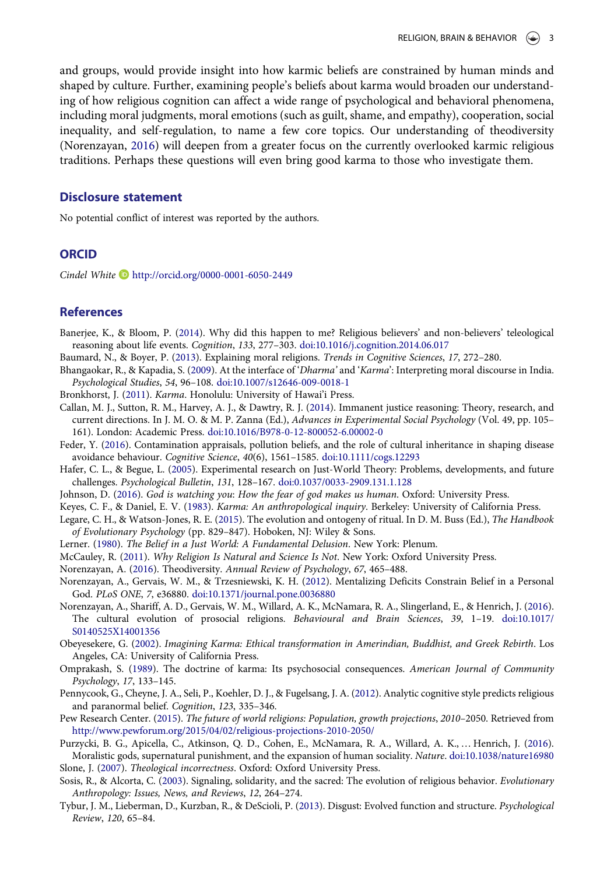<span id="page-3-0"></span>and groups, would provide insight into how karmic beliefs are constrained by human minds and shaped by culture. Further, examining people's beliefs about karma would broaden our understanding of how religious cognition can affect a wide range of psychological and behavioral phenomena, including moral judgments, moral emotions (such as guilt, shame, and empathy), cooperation, social inequality, and self-regulation, to name a few core topics. Our understanding of theodiversity (Norenzayan, 2016) will deepen from a greater focus on the currently overlooked karmic religious traditions. Perhaps these questions will even bring good karma to those who investigate them.

### Disclosure statement

No potential conflict of interest was reported by the authors.

# **ORCID**

Cindel White  $\blacksquare$  <http://orcid.org/0000-0001-6050-2449>

## **References**

Banerjee, K., & Bloom, P. ([2014](#page-2-0)). Why did this happen to me? Religious believers' and non-believers' teleological reasoning about life events. Cognition, 133, 277–303. [doi:10.1016/j.cognition.2014.06.017](http://dx.doi.org/10.1016/j.cognition.2014.06.017)

- Baumard, N., & Boyer, P. [\(2013](#page-2-0)). Explaining moral religions. Trends in Cognitive Sciences, 17, 272–280.
- Bhangaokar, R., & Kapadia, S. [\(2009\)](#page-2-0). At the interface of 'Dharma' and 'Karma': Interpreting moral discourse in India. Psychological Studies, 54, 96–108. [doi:10.1007/s12646-009-0018-1](http://dx.doi.org/10.1007/s12646-009-0018-1)
- Bronkhorst, J. [\(2011](#page-1-0)). Karma. Honolulu: University of Hawai'i Press.
- Callan, M. J., Sutton, R. M., Harvey, A. J., & Dawtry, R. J. ([2014](#page-1-0)). Immanent justice reasoning: Theory, research, and current directions. In J. M. O. & M. P. Zanna (Ed.), Advances in Experimental Social Psychology (Vol. 49, pp. 105– 161). London: Academic Press. [doi:10.1016/B978-0-12-800052-6.00002-0](http://dx.doi.org/10.1016/B978-0-12-800052-6.00002-0)
- Feder, Y. [\(2016\)](#page-2-0). Contamination appraisals, pollution beliefs, and the role of cultural inheritance in shaping disease avoidance behaviour. Cognitive Science, 40(6), 1561–1585. [doi:10.1111/cogs.12293](http://dx.doi.org/10.1111/cogs.12293)
- Hafer, C. L., & Begue, L. ([2005](#page-2-0)). Experimental research on Just-World Theory: Problems, developments, and future challenges. Psychological Bulletin, 131, 128–167. [doi:0.1037/0033-2909.131.1.128](http://dx.doi.org/0.1037/0033-2909.131.1.128)
- Johnson, D. ([2016](#page-2-0)). God is watching you: How the fear of god makes us human. Oxford: University Press.
- Keyes, C. F., & Daniel, E. V. ([1983\)](#page-2-0). Karma: An anthropological inquiry. Berkeley: University of California Press.
- Legare, C. H., & Watson-Jones, R. E. ([2015\)](#page-1-0). The evolution and ontogeny of ritual. In D. M. Buss (Ed.), The Handbook of Evolutionary Psychology (pp. 829–847). Hoboken, NJ: Wiley & Sons.
- Lerner. ([1980\)](#page-2-0). The Belief in a Just World: A Fundamental Delusion. New York: Plenum.
- McCauley, R. [\(2011\)](#page-2-0). Why Religion Is Natural and Science Is Not. New York: Oxford University Press.
- Norenzayan, A. ([2016](#page-1-0)). Theodiversity. Annual Review of Psychology, 67, 465–488.
- Norenzayan, A., Gervais, W. M., & Trzesniewski, K. H. ([2012\)](#page-2-0). Mentalizing Deficits Constrain Belief in a Personal God. PLoS ONE, 7, e36880. [doi:10.1371/journal.pone.0036880](http://dx.doi.org/10.1371/journal.pone.0036880)
- Norenzayan, A., Shariff, A. D., Gervais, W. M., Willard, A. K., McNamara, R. A., Slingerland, E., & Henrich, J. [\(2016](#page-1-0)). The cultural evolution of prosocial religions. Behavioural and Brain Sciences, 39, 1–19. [doi:10.1017/](http://dx.doi.org/10.1017/S0140525X14001356) [S0140525X14001356](http://dx.doi.org/10.1017/S0140525X14001356)
- Obeyesekere, G. ([2002\)](#page-2-0). Imagining Karma: Ethical transformation in Amerindian, Buddhist, and Greek Rebirth. Los Angeles, CA: University of California Press.
- Omprakash, S. [\(1989\)](#page-2-0). The doctrine of karma: Its psychosocial consequences. American Journal of Community Psychology, 17, 133–145.
- Pennycook, G., Cheyne, J. A., Seli, P., Koehler, D. J., & Fugelsang, J. A. [\(2012\)](#page-2-0). Analytic cognitive style predicts religious and paranormal belief. Cognition, 123, 335–346.
- Pew Research Center. [\(2015](#page-1-0)). The future of world religions: Population, growth projections, 2010–2050. Retrieved from <http://www.pewforum.org/2015/04/02/religious-projections-2010-2050/>
- Purzycki, B. G., Apicella, C., Atkinson, Q. D., Cohen, E., McNamara, R. A., Willard, A. K., … Henrich, J. [\(2016](#page-2-0)). Moralistic gods, supernatural punishment, and the expansion of human sociality. Nature. [doi:10.1038/nature16980](http://dx.doi.org/10.1038/nature16980) Slone, J. ([2007](#page-2-0)). Theological incorrectness. Oxford: Oxford University Press.
- Sosis, R., & Alcorta, C. [\(2003\)](#page-1-0). Signaling, solidarity, and the sacred: The evolution of religious behavior. Evolutionary Anthropology: Issues, News, and Reviews, 12, 264–274.
- Tybur, J. M., Lieberman, D., Kurzban, R., & DeScioli, P. [\(2013\)](#page-2-0). Disgust: Evolved function and structure. Psychological Review, 120, 65–84.